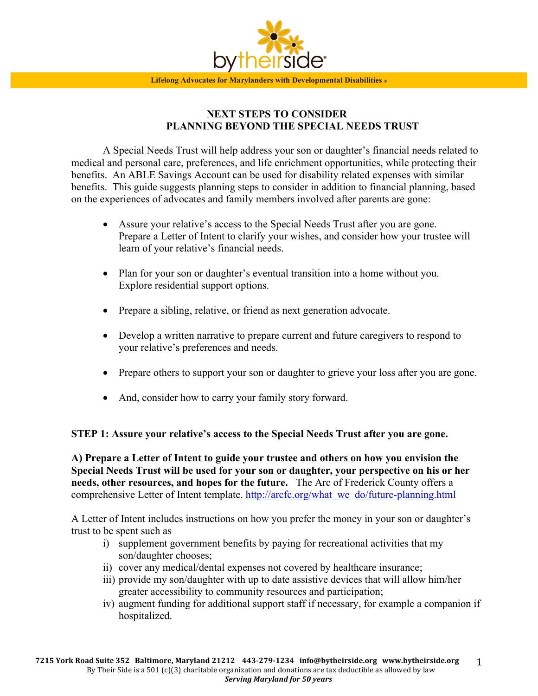

# **NEXT STEPS TO CONSIDER PLANNING BEYOND THE SPECIAL NEEDS TRUST**

A Special Needs Trust will help address your son or daughter's financial needs related to medical and personal care, preferences, and life enrichment opportunities, while protecting their benefits. An ABLE Savings Account can be used for disability related expenses with similar benefits. This guide suggests planning steps to consider in addition to financial planning, based on the experiences of advocates and family members involved after parents are gone:

- Assure your relative's access to the Special Needs Trust after you are gone. Prepare a Letter of Intent to clarify your wishes, and consider how your trustee will learn of your relative's financial needs.
- Plan for your son or daughter's eventual transition into a home without you. Explore residential support options.
- Prepare a sibling, relative, or friend as next generation advocate.
- Develop a written narrative to prepare current and future caregivers to respond to your relative's preferences and needs.
- Prepare others to support your son or daughter to grieve your loss after you are gone.
- And, consider how to carry your family story forward.

# **STEP 1: Assure your relative's access to the Special Needs Trust after you are gone.**

**A) Prepare a Letter of Intent to guide your trustee and others on how you envision the Special Needs Trust will be used for your son or daughter, your perspective on his or her needs, other resources, and hopes for the future.** The Arc of Frederick County offers a comprehensive Letter of Intent template. http://arcfc.org/what\_we\_do/future-planning.html

A Letter of Intent includes instructions on how you prefer the money in your son or daughter's trust to be spent such as

- i) supplement government benefits by paying for recreational activities that my son/daughter chooses;
- ii) cover any medical/dental expenses not covered by healthcare insurance;
- iii) provide my son/daughter with up to date assistive devices that will allow him/her greater accessibility to community resources and participation;
- iv) augment funding for additional support staff if necessary, for example a companion if hospitalized.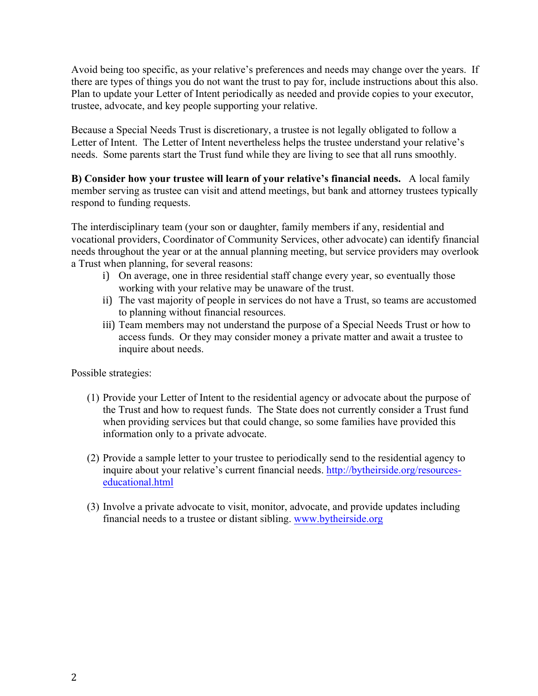Avoid being too specific, as your relative's preferences and needs may change over the years. If there are types of things you do not want the trust to pay for, include instructions about this also. Plan to update your Letter of Intent periodically as needed and provide copies to your executor, trustee, advocate, and key people supporting your relative.

Because a Special Needs Trust is discretionary, a trustee is not legally obligated to follow a Letter of Intent. The Letter of Intent nevertheless helps the trustee understand your relative's needs. Some parents start the Trust fund while they are living to see that all runs smoothly.

**B) Consider how your trustee will learn of your relative's financial needs.** A local family member serving as trustee can visit and attend meetings, but bank and attorney trustees typically respond to funding requests.

The interdisciplinary team (your son or daughter, family members if any, residential and vocational providers, Coordinator of Community Services, other advocate) can identify financial needs throughout the year or at the annual planning meeting, but service providers may overlook a Trust when planning, for several reasons:

- i) On average, one in three residential staff change every year, so eventually those working with your relative may be unaware of the trust.
- ii) The vast majority of people in services do not have a Trust, so teams are accustomed to planning without financial resources.
- iii) Team members may not understand the purpose of a Special Needs Trust or how to access funds. Or they may consider money a private matter and await a trustee to inquire about needs.

Possible strategies:

- (1) Provide your Letter of Intent to the residential agency or advocate about the purpose of the Trust and how to request funds. The State does not currently consider a Trust fund when providing services but that could change, so some families have provided this information only to a private advocate.
- (2) Provide a sample letter to your trustee to periodically send to the residential agency to inquire about your relative's current financial needs. http://bytheirside.org/resourceseducational.html
- (3) Involve a private advocate to visit, monitor, advocate, and provide updates including financial needs to a trustee or distant sibling. www.bytheirside.org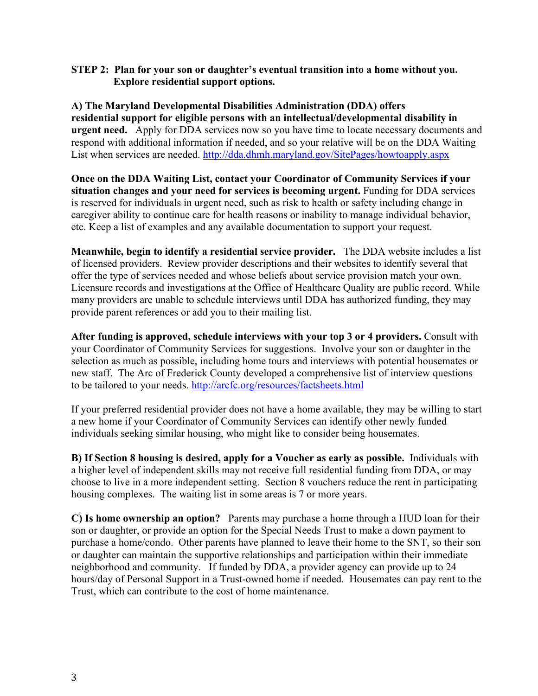### **STEP 2: Plan for your son or daughter's eventual transition into a home without you. Explore residential support options.**

**A) The Maryland Developmental Disabilities Administration (DDA) offers residential support for eligible persons with an intellectual/developmental disability in urgent need.** Apply for DDA services now so you have time to locate necessary documents and respond with additional information if needed, and so your relative will be on the DDA Waiting List when services are needed. http://dda.dhmh.maryland.gov/SitePages/howtoapply.aspx

**Once on the DDA Waiting List, contact your Coordinator of Community Services if your situation changes and your need for services is becoming urgent.** Funding for DDA services is reserved for individuals in urgent need, such as risk to health or safety including change in caregiver ability to continue care for health reasons or inability to manage individual behavior, etc. Keep a list of examples and any available documentation to support your request.

**Meanwhile, begin to identify a residential service provider.** The DDA website includes a list of licensed providers. Review provider descriptions and their websites to identify several that offer the type of services needed and whose beliefs about service provision match your own. Licensure records and investigations at the Office of Healthcare Quality are public record. While many providers are unable to schedule interviews until DDA has authorized funding, they may provide parent references or add you to their mailing list.

**After funding is approved, schedule interviews with your top 3 or 4 providers.** Consult with your Coordinator of Community Services for suggestions. Involve your son or daughter in the selection as much as possible, including home tours and interviews with potential housemates or new staff. The Arc of Frederick County developed a comprehensive list of interview questions to be tailored to your needs. http://arcfc.org/resources/factsheets.html

If your preferred residential provider does not have a home available, they may be willing to start a new home if your Coordinator of Community Services can identify other newly funded individuals seeking similar housing, who might like to consider being housemates.

**B) If Section 8 housing is desired, apply for a Voucher as early as possible.** Individuals with a higher level of independent skills may not receive full residential funding from DDA, or may choose to live in a more independent setting. Section 8 vouchers reduce the rent in participating housing complexes. The waiting list in some areas is 7 or more years.

**C) Is home ownership an option?** Parents may purchase a home through a HUD loan for their son or daughter, or provide an option for the Special Needs Trust to make a down payment to purchase a home/condo.Other parents have planned to leave their home to the SNT, so their son or daughter can maintain the supportive relationships and participation within their immediate neighborhood and community. If funded by DDA, a provider agency can provide up to 24 hours/day of Personal Support in a Trust-owned home if needed. Housemates can pay rent to the Trust, which can contribute to the cost of home maintenance.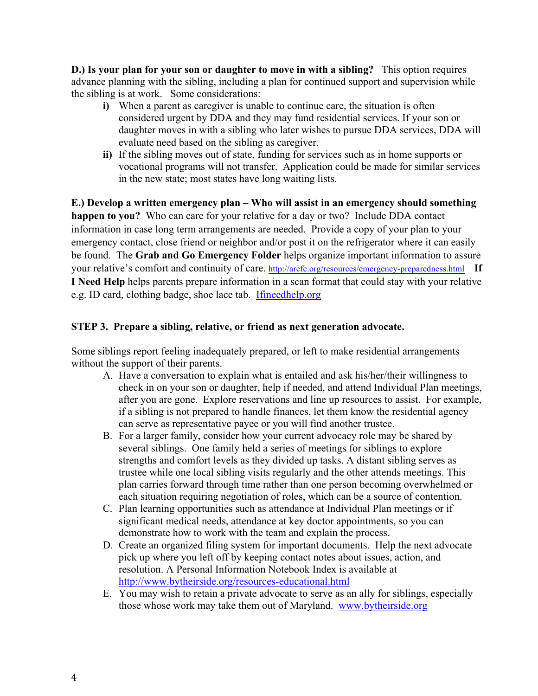**D.) Is your plan for your son or daughter to move in with a sibling?** This option requires advance planning with the sibling, including a plan for continued support and supervision while the sibling is at work. Some considerations:

- **i)** When a parent as caregiver is unable to continue care, the situation is often considered urgent by DDA and they may fund residential services. If your son or daughter moves in with a sibling who later wishes to pursue DDA services, DDA will evaluate need based on the sibling as caregiver.
- **ii)** If the sibling moves out of state, funding for services such as in home supports or vocational programs will not transfer. Application could be made for similar services in the new state; most states have long waiting lists.

**E.) Develop a written emergency plan – Who will assist in an emergency should something happen to you?** Who can care for your relative for a day or two? Include DDA contact information in case long term arrangements are needed. Provide a copy of your plan to your emergency contact, close friend or neighbor and/or post it on the refrigerator where it can easily be found. The **Grab and Go Emergency Folder** helps organize important information to assure your relative's comfort and continuity of care. http://arcfc.org/resources/emergency-preparedness.html **If I Need Help** helps parents prepare information in a scan format that could stay with your relative e.g. ID card, clothing badge, shoe lace tab. Ifineedhelp.org

# **STEP 3. Prepare a sibling, relative, or friend as next generation advocate.**

Some siblings report feeling inadequately prepared, or left to make residential arrangements without the support of their parents.

- A. Have a conversation to explain what is entailed and ask his/her/their willingness to check in on your son or daughter, help if needed, and attend Individual Plan meetings, after you are gone. Explore reservations and line up resources to assist. For example, if a sibling is not prepared to handle finances, let them know the residential agency can serve as representative payee or you will find another trustee.
- B. For a larger family, consider how your current advocacy role may be shared by several siblings. One family held a series of meetings for siblings to explore strengths and comfort levels as they divided up tasks. A distant sibling serves as trustee while one local sibling visits regularly and the other attends meetings. This plan carries forward through time rather than one person becoming overwhelmed or each situation requiring negotiation of roles, which can be a source of contention.
- C. Plan learning opportunities such as attendance at Individual Plan meetings or if significant medical needs, attendance at key doctor appointments, so you can demonstrate how to work with the team and explain the process.
- D. Create an organized filing system for important documents. Help the next advocate pick up where you left off by keeping contact notes about issues, action, and resolution. A Personal Information Notebook Index is available at http://www.bytheirside.org/resources-educational.html
- E. You may wish to retain a private advocate to serve as an ally for siblings, especially those whose work may take them out of Maryland. www.bytheirside.org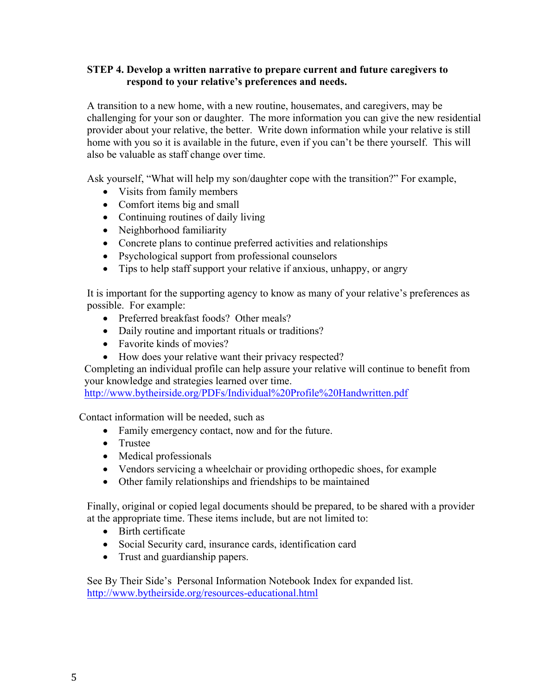### **STEP 4. Develop a written narrative to prepare current and future caregivers to respond to your relative's preferences and needs.**

A transition to a new home, with a new routine, housemates, and caregivers, may be challenging for your son or daughter. The more information you can give the new residential provider about your relative, the better. Write down information while your relative is still home with you so it is available in the future, even if you can't be there yourself. This will also be valuable as staff change over time.

Ask yourself, "What will help my son/daughter cope with the transition?" For example,

- Visits from family members
- Comfort items big and small
- Continuing routines of daily living
- Neighborhood familiarity
- Concrete plans to continue preferred activities and relationships
- Psychological support from professional counselors
- Tips to help staff support your relative if anxious, unhappy, or angry

It is important for the supporting agency to know as many of your relative's preferences as possible. For example:

- Preferred breakfast foods? Other meals?
- Daily routine and important rituals or traditions?
- Favorite kinds of movies?
- How does your relative want their privacy respected?

Completing an individual profile can help assure your relative will continue to benefit from your knowledge and strategies learned over time.

http://www.bytheirside.org/PDFs/Individual%20Profile%20Handwritten.pdf

Contact information will be needed, such as

- Family emergency contact, now and for the future.
- Trustee
- Medical professionals
- Vendors servicing a wheelchair or providing orthopedic shoes, for example
- Other family relationships and friendships to be maintained

Finally, original or copied legal documents should be prepared, to be shared with a provider at the appropriate time. These items include, but are not limited to:

- Birth certificate
- Social Security card, insurance cards, identification card
- Trust and guardianship papers.

See By Their Side's Personal Information Notebook Index for expanded list. http://www.bytheirside.org/resources-educational.html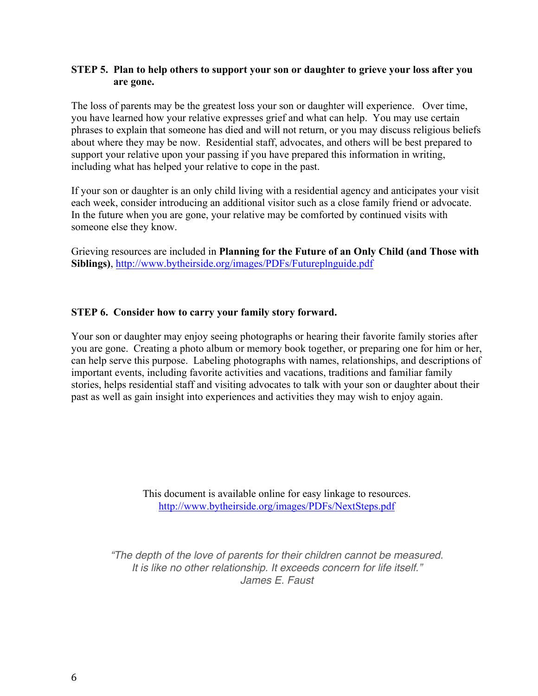### **STEP 5. Plan to help others to support your son or daughter to grieve your loss after you are gone.**

The loss of parents may be the greatest loss your son or daughter will experience. Over time, you have learned how your relative expresses grief and what can help. You may use certain phrases to explain that someone has died and will not return, or you may discuss religious beliefs about where they may be now. Residential staff, advocates, and others will be best prepared to support your relative upon your passing if you have prepared this information in writing, including what has helped your relative to cope in the past.

If your son or daughter is an only child living with a residential agency and anticipates your visit each week, consider introducing an additional visitor such as a close family friend or advocate. In the future when you are gone, your relative may be comforted by continued visits with someone else they know.

Grieving resources are included in **Planning for the Future of an Only Child (and Those with Siblings)**, http://www.bytheirside.org/images/PDFs/Futureplnguide.pdf

# **STEP 6. Consider how to carry your family story forward.**

Your son or daughter may enjoy seeing photographs or hearing their favorite family stories after you are gone. Creating a photo album or memory book together, or preparing one for him or her, can help serve this purpose. Labeling photographs with names, relationships, and descriptions of important events, including favorite activities and vacations, traditions and familiar family stories, helps residential staff and visiting advocates to talk with your son or daughter about their past as well as gain insight into experiences and activities they may wish to enjoy again.

> This document is available online for easy linkage to resources. http://www.bytheirside.org/images/PDFs/NextSteps.pdf

*"The depth of the love of parents for their children cannot be measured. It is like no other relationship. It exceeds concern for life itself." James E. Faust*